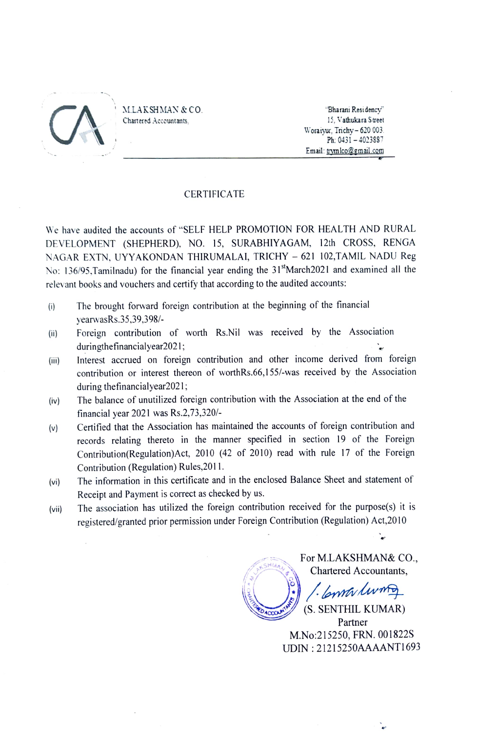

MLAKSHMAN & CO.

Chartered Accountants,

15, Vathukara Street Woraiyur, Trichy-620 003. Ph: 0431-4023887 Email: trymlco@gmail.com

## CERTIFICATE

We have audited the accounts of "SELF HELP PROMOTION FOR HEALTH AND RURAL DEVELOPMENT (SHEPHERD), NO. 15, SURABHIYAGAM, 12th CROSs, RENGA NAGAR EXTN, UYYAKONDAN THIRUMALAI, TRICHY - 621 102,TAMIL NADU Reg No: 136/95.Tamilnadu) for the financial year ending the 31"March2021 and examined all the relevant books and vouchers and certify that according to the audited accounts:

- (i) The brought forward foreign contribution at the beginning of the financial yearwasRs.35,39,398/-
- Foreign contribution of worth Rs.Nil was received by the Association  $(ii)$ duringthefinancialyear2021;
- Interest accrued on foreign contribution and other income derived from foreign contribution or interest thereon of worthRs.66,155/-was received by the Association (iii) during thefinancialyear2021;
- The balance of unutilized foreign contribution with the Association at the end of the financial year 2021 was Rs.2,73,320/ (iv)
- Certified that the Association has maintained the accounts of foreign contribution and (v) records relating thereto in the manner specified in section 19 of the Foreign Contribution(Regulation)Act, 2010 (42 of 2010) read with rule 17 of the Foreign Contribution (Regulation) Rules,2011.
- (vi) The information in this certificate and in the enclosed Balance Sheet and statement of Receipt and Payment is correct as checked by us.
- (vii) The association has utilized the foreign contribution received for the purpose(s) it is registered/granted prior permission under Foreign Contribution (Regulation) Act,2010

For M.LAKSHMAN& CO., Chartered Accountants,

Coma living

(S. SENTHIL KUMAR) Partner **WATER** M.No:215250, FRN. 001822S UDIN: 21215250AAAANT1693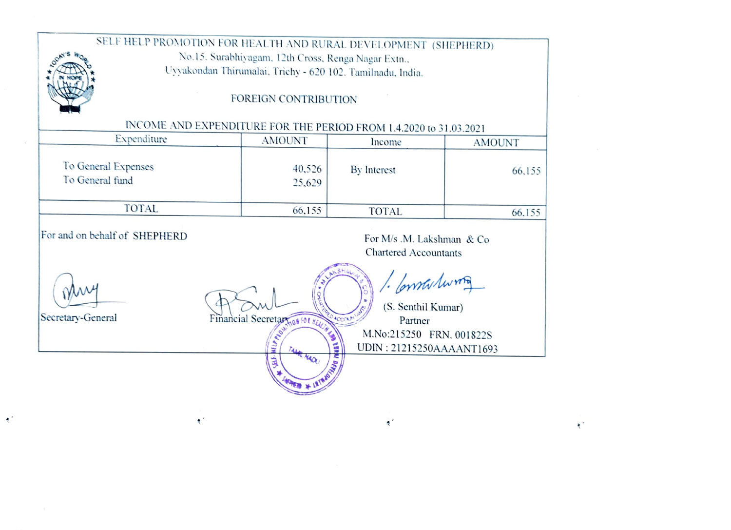## SELF HELP PROMOTION FOR HEALTH AND RURAL DEVELOPMENT (SHEPHERD) No.15. Surabhiyagam. 12th Cross. Renga Nagar Extn.. Uyyakondan Thirumalai. Trichy - 620 102. Tamilnadu, India. oAY'S FOREIGN CONTRIBUTION INCOME AND EXPENDITURE FOR THE PERIOD FROM 1.4.2020 to 31.03.2021<br>Expenditure AMOUNT noone AN Expenditure AMOUNT Income AMOUNT To General Expenses  $\begin{array}{c|c} 40,526 & \text{By Interest} \\ 25,629 & \text{By Interest} \end{array}$  66,155 To General fund TOTAL 66,155 TOTAL 66.155 For and on behalf of SHEPHERD For M/s M. Lakshman  $& Co$ Chartered Accountants

 $\mathbb{S}^n$ 

 $\ddot{\bullet}$ 

 $\bullet$ 

Constations (S. Senthil Kumar) Secretary-General Financial Secretary  $\frac{1}{\sqrt{2}}$  Partner M.No:215250 FRN. 001822S  $\left\{\mathbb{E}\right\}$  UDIN : 21215250AAAANT1693

 $\mathbf{t}$ 

 $\bullet$  '